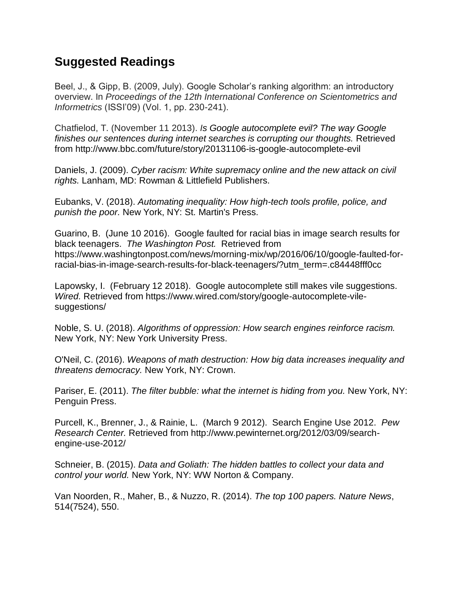## **Suggested Readings**

Beel, J., & Gipp, B. (2009, July). Google Scholar's ranking algorithm: an introductory overview. In *Proceedings of the 12th International Conference on Scientometrics and Informetrics* (ISSI'09) (Vol. 1, pp. 230-241).

Chatfielod, T. (November 11 2013). *Is Google autocomplete evil? The way Google finishes our sentences during internet searches is corrupting our thoughts.* Retrieved from http://www.bbc.com/future/story/20131106-is-google-autocomplete-evil

Daniels, J. (2009). *Cyber racism: White supremacy online and the new attack on civil rights.* Lanham, MD: Rowman & Littlefield Publishers.

Eubanks, V. (2018). *Automating inequality: How high-tech tools profile, police, and punish the poor.* New York, NY: St. Martin's Press.

Guarino, B. (June 10 2016). Google faulted for racial bias in image search results for black teenagers. *The Washington Post.* Retrieved from https://www.washingtonpost.com/news/morning-mix/wp/2016/06/10/google-faulted-forracial-bias-in-image-search-results-for-black-teenagers/?utm\_term=.c84448fff0cc

Lapowsky, I. (February 12 2018). Google autocomplete still makes vile suggestions. *Wired.* Retrieved from https://www.wired.com/story/google-autocomplete-vilesuggestions/

Noble, S. U. (2018). *Algorithms of oppression: How search engines reinforce racism.* New York, NY: New York University Press.

O'Neil, C. (2016). *Weapons of math destruction: How big data increases inequality and threatens democracy.* New York, NY: Crown.

Pariser, E. (2011). *The filter bubble: what the internet is hiding from you.* New York, NY: Penguin Press.

Purcell, K., Brenner, J., & Rainie, L. (March 9 2012). Search Engine Use 2012. *Pew Research Center.* Retrieved from http://www.pewinternet.org/2012/03/09/searchengine-use-2012/

Schneier, B. (2015). *Data and Goliath: The hidden battles to collect your data and control your world.* New York, NY: WW Norton & Company.

Van Noorden, R., Maher, B., & Nuzzo, R. (2014). *The top 100 papers. Nature News*, 514(7524), 550.